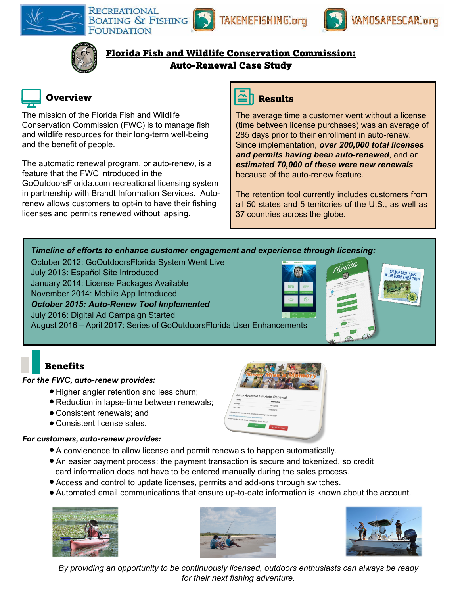

RECREATIONAL **BOATING & FISHING** FOUNDATION







Florida Fish and Wildlife Conservation Commission: Auto-Renewal Case Study



# **Overview**

The mission of the Florida Fish and Wildlife Conservation Commission (FWC) is to manage fish and wildlife resources for their long-term well-being and the benefit of people.

The automatic renewal program, or auto-renew, is a feature that the FWC introduced in the GoOutdoorsFlorida.com recreational licensing system in partnership with Brandt Information Services. Autorenew allows customers to opt-in to have their fishing licenses and permits renewed without lapsing.



The average time a customer went without a license (time between license purchases) was an average of 285 days prior to their enrollment in auto-renew. Since implementation, *over 200,000 total licenses and permits having been auto-renewed*, and an *estimated 70,000 of these were new renewals*  because of the auto-renew feature.

The retention tool currently includes customers from all 50 states and 5 territories of the U.S., as well as 37 countries across the globe.

### *Timeline of efforts to enhance customer engagement and experience through licensing:*

October 2012: GoOutdoorsFlorida System Went Live

July 2013: Español Site Introduced

January 2014: License Packages Available

November 2014: Mobile App Introduced

*October 2015: Auto-Renew Tool Implemented* 

July 2016: Digital Ad Campaign Started

August 2016 – April 2017: Series of GoOutdoorsFlorida User Enhancements

# **Benefits**

## *For the FWC, auto-renew provides:*

- Higher angler retention and less churn;
- Reduction in lapse-time between renewals;
- Consistent renewals; and
- Consistent license sales.

## *For customers, auto-renew provides:*

- A convienence to allow license and permit renewals to happen automatically.
- An easier payment process: the payment transaction is secure and tokenized, so credit card information does not have to be entered manually during the sales process.
- Access and control to update licenses, permits and add-ons through switches.
- Automated email communications that ensure up-to-date information is known about the account.







*By providing an opportunity to be continuously licensed, outdoors enthusiasts can always be ready for their next fishing adventure.*